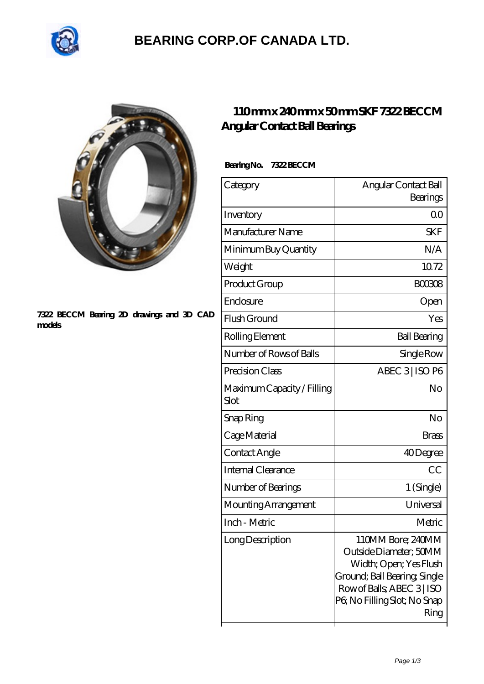

### **[BEARING CORP.OF CANADA LTD.](https://m.2sintermetalltechnik.de)**



#### **[7322 BECCM Bearing 2D drawings and 3D CAD](https://m.2sintermetalltechnik.de/pic-259713.html) [models](https://m.2sintermetalltechnik.de/pic-259713.html)**

### **[110 mm x 240 mm x 50 mm SKF 7322 BECCM](https://m.2sintermetalltechnik.de/af-259713-skf-7322-beccm-angular-contact-ball-bearings.html) [Angular Contact Ball Bearings](https://m.2sintermetalltechnik.de/af-259713-skf-7322-beccm-angular-contact-ball-bearings.html)**

| Bearing No. | <b>7322 BECCM</b> |
|-------------|-------------------|
|             |                   |

| Category                           | Angular Contact Ball<br>Bearings                                                                                                                                            |
|------------------------------------|-----------------------------------------------------------------------------------------------------------------------------------------------------------------------------|
| Inventory                          | 0 <sup>0</sup>                                                                                                                                                              |
| Manufacturer Name                  | <b>SKF</b>                                                                                                                                                                  |
| Minimum Buy Quantity               | N/A                                                                                                                                                                         |
| Weight                             | 10.72                                                                                                                                                                       |
| Product Group                      | <b>BOO3O8</b>                                                                                                                                                               |
| Enclosure                          | Open                                                                                                                                                                        |
| Flush Ground                       | Yes                                                                                                                                                                         |
| Rolling Element                    | <b>Ball Bearing</b>                                                                                                                                                         |
| Number of Rows of Balls            | Single Row                                                                                                                                                                  |
| Precision Class                    | ABEC 3 ISO P6                                                                                                                                                               |
| Maximum Capacity / Filling<br>Slot | No                                                                                                                                                                          |
| Snap Ring                          | No                                                                                                                                                                          |
| Cage Material                      | Brass                                                                                                                                                                       |
| Contact Angle                      | 40Degree                                                                                                                                                                    |
| Internal Clearance                 | CC                                                                                                                                                                          |
| Number of Bearings                 | 1 (Single)                                                                                                                                                                  |
| Mounting Arrangement               | Universal                                                                                                                                                                   |
| Inch - Metric                      | Metric                                                                                                                                                                      |
| Long Description                   | 110MM Bore; 240MM<br>Outside Diameter; 50MM<br>Width; Open; Yes Flush<br>Ground; Ball Bearing; Single<br>Row of Balls, ABEC 3   ISO<br>P6; No Filling Slot; No Snap<br>Ring |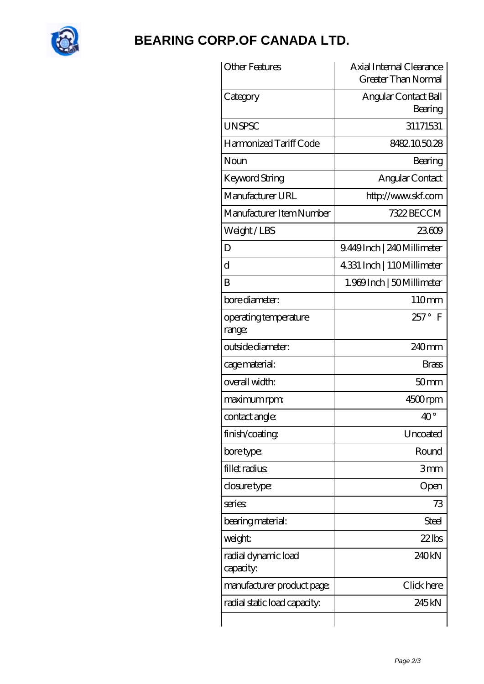

# **[BEARING CORP.OF CANADA LTD.](https://m.2sintermetalltechnik.de)**

| <b>Other Features</b>            | Axial Internal Clearance<br><b>Greater Than Normal</b> |
|----------------------------------|--------------------------------------------------------|
| Category                         | Angular Contact Ball<br>Bearing                        |
| <b>UNSPSC</b>                    | 31171531                                               |
| Harmonized Tariff Code           | 8482105028                                             |
| Noun                             | Bearing                                                |
| <b>Keyword String</b>            | Angular Contact                                        |
| Manufacturer URL                 | http://www.skf.com                                     |
| Manufacturer Item Number         | 7322 BECCM                                             |
| Weight/LBS                       | 23609                                                  |
| D                                | 9.449Inch   240Millimeter                              |
| $\rm d$                          | 4331 Inch   110Millimeter                              |
| B                                | 1.969 Inch   50 Millimeter                             |
| bore diameter:                   | 110mm                                                  |
| operating temperature<br>range:  | $257^\circ$<br>- F                                     |
| outside diameter:                | 240mm                                                  |
| cage material:                   | <b>Brass</b>                                           |
| overall width:                   | 50 <sub>mm</sub>                                       |
| maximum rpm:                     | 4500rpm                                                |
| contact angle:                   | $40^{\circ}$                                           |
| finish/coating                   | Uncoated                                               |
| bore type:                       | Round                                                  |
| fillet radius                    | 3mm                                                    |
| closure type:                    | Open                                                   |
| series:                          | 73                                                     |
| bearing material:                | Steel                                                  |
| weight:                          | $22$ lbs                                               |
| radial dynamic load<br>capacity: | 240kN                                                  |
| manufacturer product page:       | Click here                                             |
| radial static load capacity.     | 245 <sub>kN</sub>                                      |
|                                  |                                                        |